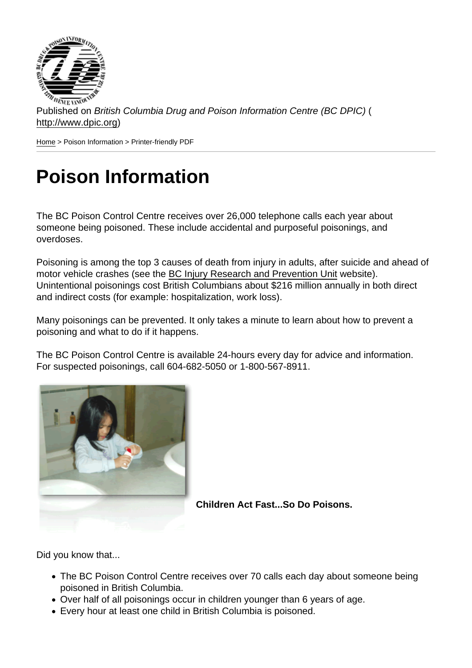Published on British Columbia Drug and Poison Information Centre (BC DPIC) ( http://www.dpic.org)

Home > Poison Information > Printer-friendly PDF

## [Po](http://www.dpic.org/)ison Information

The BC Poison Control Centre receives over 26,000 telephone calls each year about someone being poisoned. These include accidental and purposeful poisonings, and overdoses.

Poisoning is among the top 3 causes of death from injury in adults, after suicide and ahead of motor vehicle crashes (see the BC Injury Research and Prevention Unit website). Unintentional poisonings cost British Columbians about \$216 million annually in both direct and indirect costs (for example: hospitalization, work loss).

Many poisonings can be preve[nted. It only takes a minute to learn abou](http://www.injuryresearch.bc.ca.s48.en.wbprx.com/)t how to prevent a poisoning and what to do if it happens.

The BC Poison Control Centre is available 24-hours every day for advice and information. For suspected poisonings, call 604-682-5050 or 1-800-567-8911.

Children Act Fast...So Do Poisons.

Did you know that...

- The BC Poison Control Centre receives over 70 calls each day about someone being poisoned in British Columbia.
- Over half of all poisonings occur in children younger than 6 years of age.
- Every hour at least one child in British Columbia is poisoned.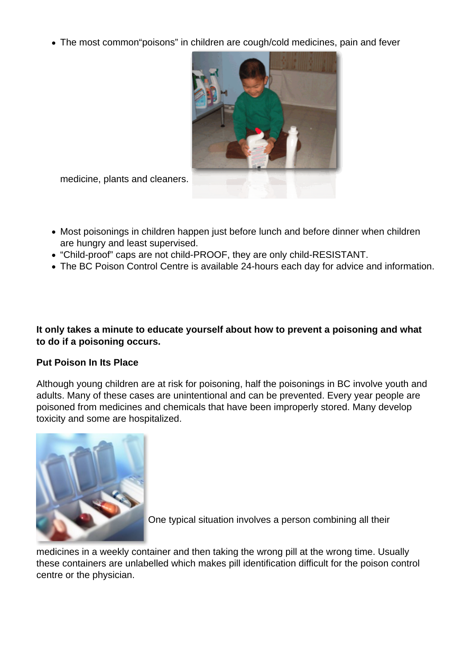The most common"poisons" in children are cough/cold medicines, pain and fever



medicine, plants and cleaners.

- Most poisonings in children happen just before lunch and before dinner when children are hungry and least supervised.
- "Child-proof" caps are not child-PROOF, they are only child-RESISTANT.
- The BC Poison Control Centre is available 24-hours each day for advice and information.

**It only takes a minute to educate yourself about how to prevent a poisoning and what to do if a poisoning occurs.**

## **Put Poison In Its Place**

Although young children are at risk for poisoning, half the poisonings in BC involve youth and adults. Many of these cases are unintentional and can be prevented. Every year people are poisoned from medicines and chemicals that have been improperly stored. Many develop toxicity and some are hospitalized.



One typical situation involves a person combining all their

medicines in a weekly container and then taking the wrong pill at the wrong time. Usually these containers are unlabelled which makes pill identification difficult for the poison control centre or the physician.